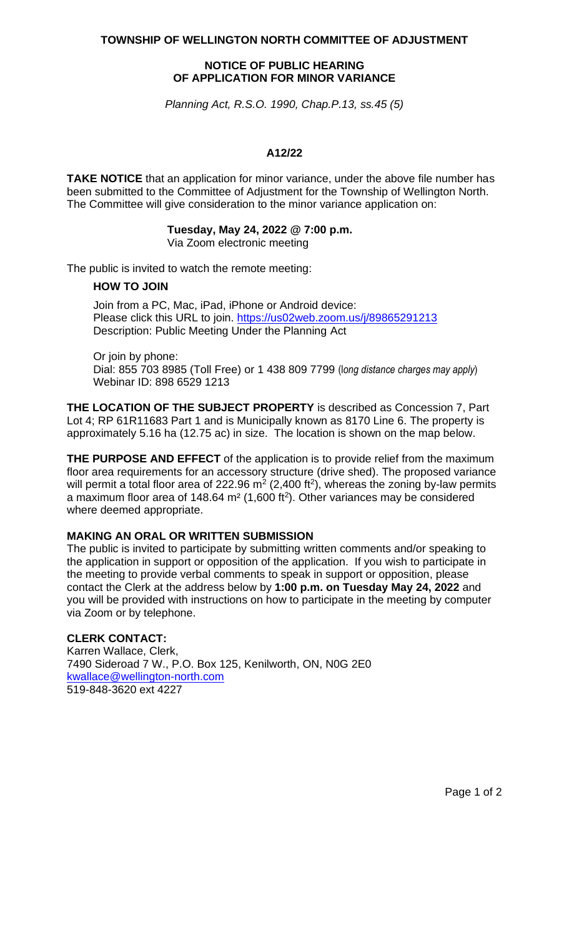**TOWNSHIP OF WELLINGTON NORTH COMMITTEE OF ADJUSTMENT**

# **NOTICE OF PUBLIC HEARING OF APPLICATION FOR MINOR VARIANCE**

*Planning Act, R.S.O. 1990, Chap.P.13, ss.45 (5)*

### **A12/22**

**TAKE NOTICE** that an application for minor variance, under the above file number has been submitted to the Committee of Adjustment for the Township of Wellington North. The Committee will give consideration to the minor variance application on:

# **Tuesday, May 24, 2022 @ 7:00 p.m.**

Via Zoom electronic meeting

The public is invited to watch the remote meeting:

#### **HOW TO JOIN**

Join from a PC, Mac, iPad, iPhone or Android device: Please click this URL to join. <https://us02web.zoom.us/j/89865291213> Description: Public Meeting Under the Planning Act

Or join by phone: Dial: 855 703 8985 (Toll Free) or 1 438 809 7799 (l*ong distance charges may apply*) Webinar ID: 898 6529 1213

**THE LOCATION OF THE SUBJECT PROPERTY** is described as Concession 7, Part Lot 4; RP 61R11683 Part 1 and is Municipally known as 8170 Line 6. The property is approximately 5.16 ha (12.75 ac) in size. The location is shown on the map below.

**THE PURPOSE AND EFFECT** of the application is to provide relief from the maximum floor area requirements for an accessory structure (drive shed). The proposed variance will permit a total floor area of 222.96  $m^2$  (2,400 ft<sup>2</sup>), whereas the zoning by-law permits a maximum floor area of 148.64 m<sup>2</sup> (1,600 ft<sup>2</sup>). Other variances may be considered where deemed appropriate.

# **MAKING AN ORAL OR WRITTEN SUBMISSION**

The public is invited to participate by submitting written comments and/or speaking to the application in support or opposition of the application. If you wish to participate in the meeting to provide verbal comments to speak in support or opposition, please contact the Clerk at the address below by **1:00 p.m. on Tuesday May 24, 2022** and you will be provided with instructions on how to participate in the meeting by computer via Zoom or by telephone.

### **CLERK CONTACT:**

Karren Wallace, Clerk, 7490 Sideroad 7 W., P.O. Box 125, Kenilworth, ON, N0G 2E0 [kwallace@wellington-north.com](mailto:kwallace@wellington-north.com) 519-848-3620 ext 4227